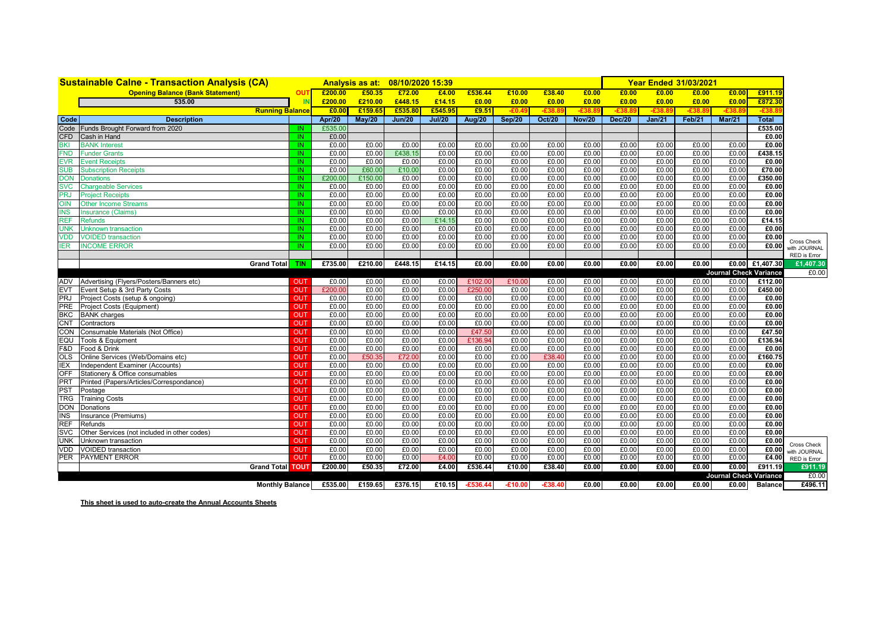|                          | <b>Sustainable Calne - Transaction Analysis (CA)</b>                                           |     |                | <b>Analysis as at:</b> | 08/10/2020 15:39 |                |                |                |                 |                |                | <b>Year Ended 31/03/2021</b> |                |                               |                 |                              |
|--------------------------|------------------------------------------------------------------------------------------------|-----|----------------|------------------------|------------------|----------------|----------------|----------------|-----------------|----------------|----------------|------------------------------|----------------|-------------------------------|-----------------|------------------------------|
|                          | <b>Opening Balance (Bank Statement)</b>                                                        | OUT | £200.00        | £50.35                 | £72.00           | £4.00          | £536.44        | £10.00         | £38.40          | £0.00          | £0.00          | £0.00                        | £0.00          | £0.00                         | £911.19         |                              |
|                          | 535.00                                                                                         | IN  | £200.00        | £210.00                | £448.15          | £14.15         | £0.00          | £0.00          | £0.00           | £0.00          | £0.00          | £0.00                        | £0.00          | £0.00                         | £872.30         |                              |
|                          | <b>Running Balance</b>                                                                         |     | £0.00          | £159.65                | £535.80          | £545.95        | £9.51          | -£0.           | -£38            | -£38           | $-£38.8$       | -£38.                        | -£38           |                               | $-£38$          |                              |
| Code                     | <b>Description</b>                                                                             |     | <b>Apr/20</b>  | May/20                 | Jun/20           | <b>Jul/20</b>  | <b>Aug/20</b>  | Sep/20         | <b>Oct/20</b>   | <b>Nov/20</b>  | <b>Dec/20</b>  | Jan/21                       | Feb/21         | Mar/21                        | <b>Total</b>    |                              |
| Code                     | Funds Brought Forward from 2020<br>IN                                                          |     | £535.00        |                        |                  |                |                |                |                 |                |                |                              |                |                               | £535.00         |                              |
| <b>CFD</b>               | Cash in Hand                                                                                   | IN. | £0.00          |                        |                  |                |                |                |                 |                |                |                              |                |                               | £0.00           |                              |
| <b>BKI</b>               | <b>BANK Interest</b>                                                                           | IN. | £0.00          | £0.00                  | £0.00            | £0.00          | £0.00          | £0.00          | £0.00           | £0.00          | £0.00          | £0.00                        | £0.00          | £0.00                         | £0.00           |                              |
| <b>FND</b>               | <b>Funder Grants</b>                                                                           | IN. | £0.00          | £0.00                  | £438.15          | £0.00          | £0.00          | £0.00          | £0.00           | £0.00          | £0.00          | £0.00                        | £0.00          | £0.00                         | £438.15         |                              |
| <b>EVR</b>               | <b>Event Receipts</b>                                                                          | IN. | £0.00          | £0.00                  | £0.00            | £0.00          | £0.00          | £0.00          | £0.00           | £0.00          | £0.00          | £0.00                        | £0.00          | £0.00                         | £0.00           |                              |
| <b>SUB</b>               | IN<br><b>Subscription Receipts</b>                                                             |     | £0.00          | £60.00                 | £10.00           | £0.00          | £0.00          | E0.00          | £0.00           | £0.00          | £0.00          | £0.00                        | £0.00          | £0.00                         | £70.00          |                              |
| <b>DON</b>               | IN<br><b>Donations</b>                                                                         |     | £200.00        | £150.00                | £0.00            | £0.00          | £0.00          | £0.00          | £0.00           | £0.00          | £0.00          | £0.00                        | £0.00          | £0.00                         | £350.00         |                              |
| <b>SVC</b>               | <b>Chargeable Services</b><br>IN                                                               |     | £0.00          | £0.00                  | £0.00            | £0.00          | £0.00          | E0.00          | £0.00           | £0.00          | £0.00          | £0.00                        | £0.00          | £0.00                         | £0.00           |                              |
| <b>PRJ</b>               | <b>Project Receipts</b>                                                                        | IN. | £0.00          | £0.00                  | £0.00            | £0.00          | £0.00          | £0.00          | £0.00           | £0.00          | £0.00          | £0.00                        | £0.00          | £0.00                         | £0.00           |                              |
| <b>NIO</b>               | <b>Other Income Streams</b>                                                                    | IN. | £0.00          | £0.00                  | £0.00            | £0.00          | £0.00          | £0.00          | £0.00           | £0.00          | £0.00          | £0.00                        | £0.00          | £0.00                         | £0.00           |                              |
| <b>INS</b>               | Insurance (Claims)                                                                             | IN. | £0.00          | £0.00                  | £0.00            | £0.00          | £0.00          | £0.00          | £0.00           | £0.00          | £0.00          | £0.00                        | £0.00          | £0.00                         | £0.00           |                              |
| <b>REF</b>               | <b>Refunds</b>                                                                                 | IN. | £0.00          | £0.00                  | £0.00            | £14.15         | £0.00          | £0.00          | £0.00           | £0.00          | £0.00          | £0.00                        | £0.00          | £0.00                         | £14.15          |                              |
| <b>UNK</b>               | <b>Unknown transaction</b>                                                                     | IN. | £0.00          | £0.00                  | £0.00            | £0.00          | £0.00          | £0.00          | £0.00           | £0.00          | £0.00          | £0.00                        | £0.00          | £0.00                         | £0.00           |                              |
| <b>VDD</b>               | <b>VOIDED</b> transaction                                                                      | IN. | £0.00          | £0.00                  | £0.00            | £0.00          | £0.00          | £0.00          | £0.00           | £0.00          | £0.00          | £0.00                        | £0.00          | £0.00                         | £0.00           | <b>Cross Check</b>           |
| <b>IER</b>               | <b>INCOME ERROR</b>                                                                            | IN. | £0.00          | £0.00                  | £0.00            | £0.00          | £0.00          | £0.00          | £0.00           | £0.00          | £0.00          | £0.00                        | £0.00          | £0.00                         | £0.00           | with JOURNAL                 |
|                          |                                                                                                |     |                |                        |                  |                |                |                |                 |                |                |                              |                |                               |                 | RED is Error                 |
|                          | <b>Grand Total</b><br><b>TIN</b>                                                               |     | £735.00        | £210.00                | £448.15          | £14.15         | £0.00          | £0.00          | £0.00           | £0.00          | £0.00          | £0.00                        | £0.00          |                               | £0.00 £1,407.30 | £1.407.30                    |
|                          |                                                                                                |     |                |                        |                  |                |                |                |                 |                |                |                              |                | <b>Journal Check Variance</b> |                 | £0.00                        |
|                          | ADV Advertising (Flyers/Posters/Banners etc)<br><b>OUT</b>                                     |     | £0.00          | £0.00                  | £0.00            | £0.00          | £102.00        | £10.00         | £0.00           | £0.00          | £0.00          | £0.00                        | £0.00          | £0.00                         | £112.00         |                              |
| <b>EVT</b>               | Event Setup & 3rd Party Costs<br><b>OUT</b>                                                    |     | £200.00        | £0.00                  | £0.00            | £0.00          | £250.00        | £0.00          | £0.00           | £0.00          | £0.00          | £0.00                        | £0.00          | £0.00                         | £450.00         |                              |
| <b>PRJ</b>               | Project Costs (setup & ongoing)<br><b>OUT</b>                                                  |     | £0.00          | £0.00                  | £0.00            | £0.00          | £0.00          | £0.00          | £0.00           | £0.00          | £0.00          | £0.00                        | £0.00          | £0.00                         | £0.00           |                              |
| <b>PRE</b>               | Project Costs (Equipment)<br><b>OUT</b>                                                        |     | £0.00          | £0.00                  | £0.00            | £0.00          | £0.00          | £0.00          | £0.00           | £0.00          | £0.00          | £0.00                        | £0.00          | £0.00                         | £0.00           |                              |
|                          | <b>BKC</b> BANK charges<br><b>OUT</b>                                                          |     | £0.00          | £0.00                  | £0.00            | £0.00          | £0.00          | £0.00          | £0.00           | £0.00          | £0.00          | £0.00                        | £0.00          | £0.00                         | £0.00           |                              |
| <b>CNT</b>               | Contractors<br><b>OUT</b>                                                                      |     | £0.00          | £0.00                  | £0.00            | £0.00          | £0.00          | £0.00          | £0.00           | £0.00          | £0.00          | £0.00                        | £0.00          | £0.00                         | £0.00           |                              |
| <b>CON</b>               | Consumable Materials (Not Office)<br><b>OUT</b>                                                |     | £0.00          | £0.00                  | £0.00            | £0.00          | £47.50         | £0.00          | £0.00           | £0.00          | £0.00          | £0.00                        | £0.00          | £0.00                         | £47.50          |                              |
| EQU                      | Tools & Equipment<br><b>OUT</b>                                                                |     | £0.00          | £0.00                  | £0.00            | £0.00          | £136.94        | E0.00          | £0.00           | £0.00          | £0.00          | £0.00                        | £0.00          | £0.00                         | £136.94         |                              |
| F&D                      | Food & Drink<br><b>OUT</b>                                                                     |     | £0.00          | £0.00                  | £0.00            | £0.00          | £0.00          | E0.00          | £0.00           | £0.00          | £0.00          | £0.00                        | E0.00          | £0.00                         | £0.00           |                              |
| <b>OLS</b><br><b>IEX</b> | Online Services (Web/Domains etc)<br><b>OUT</b>                                                |     | £0.00          | £50.3<br>£0.00         | £72.00           | £0.00<br>£0.00 | £0.00          | £0.00<br>£0.00 | £38.40<br>£0.00 | £0.00<br>£0.00 | £0.00<br>£0.00 | £0.00<br>£0.00               | £0.00<br>£0.00 | £0.00<br>£0.00                | £160.75         |                              |
| OFF                      | Independent Examiner (Accounts)<br><b>OUT</b><br>Stationery & Office consumables<br><b>OUT</b> |     | £0.00<br>£0.00 | £0.00                  | £0.00            |                | £0.00          | £0.00          | £0.00           | £0.00          |                | £0.00                        |                | £0.00                         | £0.00           |                              |
| <b>PRT</b>               | Printed (Papers/Articles/Correspondance)<br><b>OUT</b>                                         |     | £0.00          | £0.00                  | £0.00<br>£0.00   | £0.00<br>£0.00 | £0.00<br>£0.00 | £0.00          | £0.00           | £0.00          | £0.00<br>£0.00 | £0.00                        | £0.00<br>£0.00 | £0.00                         | £0.00<br>£0.00  |                              |
| <b>PST</b>               | <b>OUT</b><br>Postage                                                                          |     | £0.00          | £0.00                  | £0.00            | £0.00          | £0.00          | £0.00          | £0.00           | £0.00          | £0.00          | £0.00                        | £0.00          | £0.00                         | £0.00           |                              |
| <b>TRG</b>               | <b>Training Costs</b><br>OUT                                                                   |     | £0.00          | £0.00                  | £0.00            | £0.00          | £0.00          | £0.00          | £0.00           | £0.00          | £0.00          | £0.00                        | £0.00          | £0.00                         | £0.00           |                              |
| <b>DON</b>               | Donations<br><b>OUT</b>                                                                        |     | £0.00          | £0.00                  | £0.00            | £0.00          | £0.00          | £0.00          | £0.00           | £0.00          | £0.00          | £0.00                        | £0.00          | £0.00                         | £0.00           |                              |
| <b>INS</b>               | Insurance (Premiums)<br><b>OUT</b>                                                             |     | £0.00          | £0.00                  | £0.00            | £0.00          | £0.00          | £0.00          | £0.00           | £0.00          | £0.00          | £0.00                        | £0.00          | £0.00                         | £0.00           |                              |
| <b>REF</b>               | <b>OUT</b><br>Refunds                                                                          |     | £0.00          | £0.00                  | £0.00            | £0.00          | £0.00          | E0.00          | £0.00           | £0.00          | £0.00          | £0.00                        | E0.00          | £0.00                         | £0.00           |                              |
| <b>SVC</b>               | Other Services (not included in other codes)<br>OUT                                            |     | £0.00          | £0.00                  | £0.00            | £0.00          | £0.00          | £0.00          | £0.00           | £0.00          | £0.00          | £0.00                        | £0.00          | £0.00                         | £0.00           |                              |
| <b>UNK</b>               | Unknown transaction<br><b>OUT</b>                                                              |     | £0.00          | £0.00                  | £0.00            | £0.00          | £0.00          | £0.00          | £0.00           | £0.00          | £0.00          | £0.00                        | £0.00          | £0.00                         | £0.00           |                              |
| VDD                      | <b>VOIDED</b> transaction<br><b>OUT</b>                                                        |     | £0.00          | £0.00                  | £0.00            | £0.00          | £0.00          | £0.00          | £0.00           | £0.00          | £0.00          | £0.00                        | £0.00          | £0.00                         | £0.00           | <b>Cross Check</b>           |
|                          | PER PAYMENT ERROR<br>OUT                                                                       |     | £0.00          | £0.00                  | £0.00            | £4.00          | £0.00          | E0.00          | £0.00           | £0.00          | £0.00          | £0.00                        | £0.00          | £0.00                         | £4.00           | with JOURNAL<br>RED is Error |
|                          | <b>Grand Total TOUT</b>                                                                        |     | £200.00        | £50.35                 | £72.00           | £4.00          | £536.44        | £10.00         | £38.40          | £0.00          | £0.00          | £0.00                        | E0.00          | £0.00                         | £911.19         | £911.19                      |
|                          |                                                                                                |     |                |                        |                  |                |                |                |                 |                |                |                              |                | Journal Check Variance        |                 | £0.00                        |
|                          | <b>Monthly Balance</b>                                                                         |     | £535.00        | £159.65                | £376.15          | £10.15         | $-£536.44$     | $-£10.00$      | $-£38.40$       | £0.00          | £0.00          | £0.00                        | £0.00          | £0.00                         | <b>Balance</b>  | £496.11                      |
|                          |                                                                                                |     |                |                        |                  |                |                |                |                 |                |                |                              |                |                               |                 |                              |

**This sheet is used to auto-create the Annual Accounts Sheets**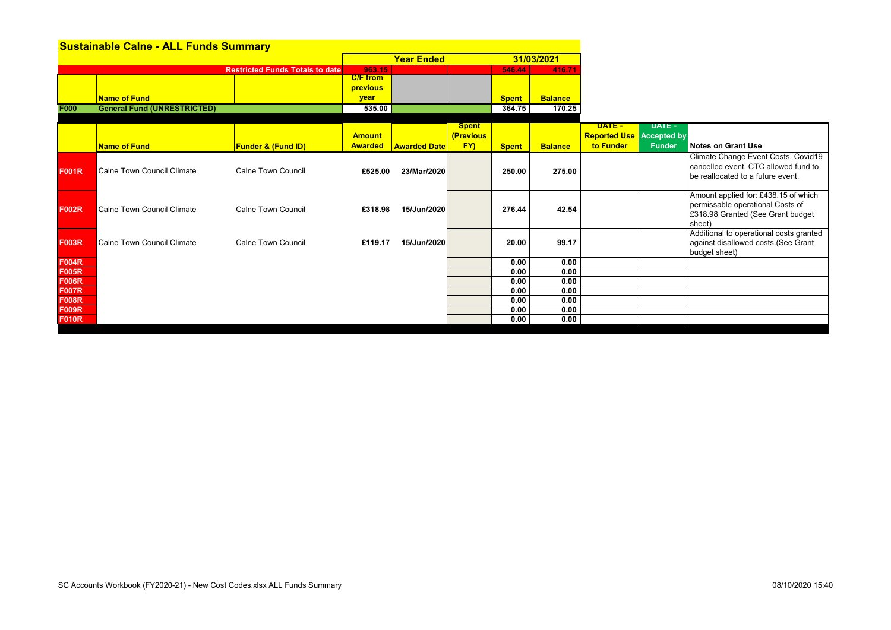| <b>Sustainable Calne - ALL Funds Summary</b> |                                    |                                        |                 |                     |              |              |                |                     |                    |                                         |
|----------------------------------------------|------------------------------------|----------------------------------------|-----------------|---------------------|--------------|--------------|----------------|---------------------|--------------------|-----------------------------------------|
|                                              |                                    |                                        |                 | <b>Year Ended</b>   |              |              | 31/03/2021     |                     |                    |                                         |
|                                              |                                    | <b>Restricted Funds Totals to date</b> | 963.15          |                     |              | 546.44       | 416.7          |                     |                    |                                         |
|                                              |                                    |                                        | <b>C/F</b> from |                     |              |              |                |                     |                    |                                         |
|                                              |                                    |                                        | previous        |                     |              |              |                |                     |                    |                                         |
|                                              | <b>Name of Fund</b>                |                                        | vear            |                     |              | <b>Spent</b> | <b>Balance</b> |                     |                    |                                         |
| <b>F000</b>                                  | <b>General Fund (UNRESTRICTED)</b> |                                        | 535.00          |                     |              | 364.75       | 170.25         |                     |                    |                                         |
|                                              |                                    |                                        |                 |                     | <b>Spent</b> |              |                | DATE-               | <b>DATE -</b>      |                                         |
|                                              |                                    |                                        | <b>Amount</b>   |                     | (Previous    |              |                | <b>Reported Use</b> | <b>Accepted by</b> |                                         |
|                                              | <b>Name of Fund</b>                | <b>Funder &amp; (Fund ID)</b>          | <b>Awarded</b>  | <b>Awarded Date</b> | FY)          | <b>Spent</b> | <b>Balance</b> | to Funder           | <b>Funder</b>      | <b>Notes on Grant Use</b>               |
|                                              |                                    |                                        |                 |                     |              |              |                |                     |                    | Climate Change Event Costs. Covid19     |
| <b>F001R</b>                                 | Calne Town Council Climate         | <b>Calne Town Council</b>              | £525.00         | 23/Mar/2020         |              | 250.00       | 275.00         |                     |                    | cancelled event. CTC allowed fund to    |
|                                              |                                    |                                        |                 |                     |              |              |                |                     |                    | be reallocated to a future event.       |
|                                              |                                    |                                        |                 |                     |              |              |                |                     |                    | Amount applied for: £438.15 of which    |
| <b>F002R</b>                                 | Calne Town Council Climate         | <b>Calne Town Council</b>              | £318.98         | 15/Jun/2020         |              | 276.44       | 42.54          |                     |                    | permissable operational Costs of        |
|                                              |                                    |                                        |                 |                     |              |              |                |                     |                    | £318.98 Granted (See Grant budget       |
|                                              |                                    |                                        |                 |                     |              |              |                |                     |                    | sheet)                                  |
|                                              |                                    |                                        |                 |                     |              |              |                |                     |                    | Additional to operational costs granted |
| <b>F003R</b>                                 | Calne Town Council Climate         | <b>Calne Town Council</b>              | £119.17         | 15/Jun/2020         |              | 20.00        | 99.17          |                     |                    | against disallowed costs. (See Grant    |
|                                              |                                    |                                        |                 |                     |              |              |                |                     |                    | budget sheet)                           |
| <b>F004R</b>                                 |                                    |                                        |                 |                     |              | 0.00         | 0.00           |                     |                    |                                         |
| <b>F005R</b><br><b>F006R</b>                 |                                    |                                        |                 |                     |              | 0.00<br>0.00 | 0.00<br>0.00   |                     |                    |                                         |
| <b>F007R</b>                                 |                                    |                                        |                 |                     |              | 0.00         | 0.00           |                     |                    |                                         |
| <b>F008R</b>                                 |                                    |                                        |                 |                     |              | 0.00         | 0.00           |                     |                    |                                         |
| <b>F009R</b>                                 |                                    |                                        |                 |                     |              | 0.00         | 0.00           |                     |                    |                                         |
| <b>F010R</b>                                 |                                    |                                        |                 |                     |              | 0.00         | 0.00           |                     |                    |                                         |
|                                              |                                    |                                        |                 |                     |              |              |                |                     |                    |                                         |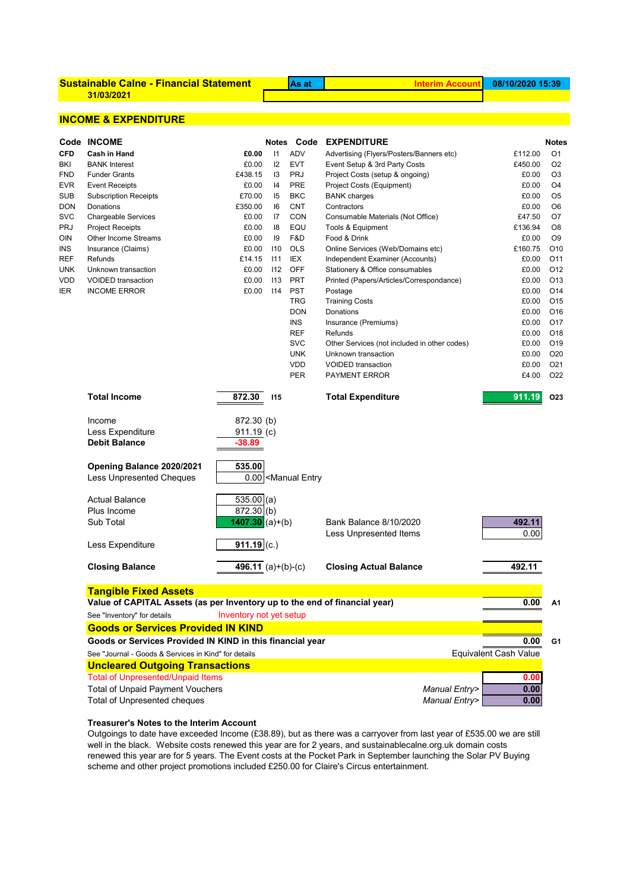| <b>Sustainable Calne - Financial Statement</b> |  |
|------------------------------------------------|--|
| 31/03/2021                                     |  |

**Sustainable Calne - Financial Statement As at Interim Account**

# **INCOME & EXPENDITURE**

|                   | Code INCOME                                                                                               |                                                                             |              | Notes Code        | <b>EXPENDITURE</b>                                                 |                              | <b>Notes</b>                       |  |  |  |  |
|-------------------|-----------------------------------------------------------------------------------------------------------|-----------------------------------------------------------------------------|--------------|-------------------|--------------------------------------------------------------------|------------------------------|------------------------------------|--|--|--|--|
| <b>CFD</b>        | Cash in Hand                                                                                              | £0.00                                                                       | $\mathsf{I}$ | <b>ADV</b>        | Advertising (Flyers/Posters/Banners etc)                           | £112.00                      | O <sub>1</sub>                     |  |  |  |  |
| BKI               | <b>BANK Interest</b>                                                                                      | £0.00                                                                       | 12           | <b>EVT</b>        | Event Setup & 3rd Party Costs                                      | £450.00                      | O2                                 |  |  |  |  |
| <b>FND</b>        | <b>Funder Grants</b>                                                                                      | £438.15                                                                     | 13           | <b>PRJ</b>        | Project Costs (setup & ongoing)                                    | £0.00                        | O3                                 |  |  |  |  |
| <b>EVR</b>        | <b>Event Receipts</b>                                                                                     | £0.00                                                                       | 14           | PRE               | Project Costs (Equipment)                                          | £0.00                        | O4                                 |  |  |  |  |
| <b>SUB</b>        | <b>Subscription Receipts</b>                                                                              | £70.00                                                                      | 15           | <b>BKC</b>        | <b>BANK</b> charges                                                | £0.00                        | O5                                 |  |  |  |  |
| <b>DON</b>        | Donations                                                                                                 | £350.00                                                                     | 16           | <b>CNT</b>        | Contractors                                                        | £0.00                        | O6                                 |  |  |  |  |
| <b>SVC</b>        | <b>Chargeable Services</b>                                                                                | £0.00                                                                       | 17           | CON               | Consumable Materials (Not Office)                                  | £47.50                       | O7                                 |  |  |  |  |
| <b>PRJ</b>        | Project Receipts                                                                                          | £0.00                                                                       | 18           | EQU               | Tools & Equipment                                                  | £136.94                      | O8                                 |  |  |  |  |
| <b>OIN</b>        | Other Income Streams                                                                                      | £0.00                                                                       | 19           | F&D               | Food & Drink                                                       | £0.00                        | O <sub>9</sub>                     |  |  |  |  |
| INS<br><b>REF</b> | Insurance (Claims)<br>Refunds                                                                             | £0.00<br>£14.15                                                             | 110<br>111   | <b>OLS</b><br>IEX | Online Services (Web/Domains etc)                                  | £160.75<br>£0.00             | O <sub>10</sub><br>O <sub>11</sub> |  |  |  |  |
| <b>UNK</b>        | Unknown transaction                                                                                       | £0.00                                                                       | 112          | OFF               | Independent Examiner (Accounts)<br>Stationery & Office consumables | £0.00                        | O <sub>12</sub>                    |  |  |  |  |
| VDD               | <b>VOIDED</b> transaction                                                                                 | £0.00                                                                       | 113          | <b>PRT</b>        | Printed (Papers/Articles/Correspondance)                           | £0.00                        | O <sub>13</sub>                    |  |  |  |  |
| <b>IER</b>        | <b>INCOME ERROR</b>                                                                                       | £0.00                                                                       | 114          | <b>PST</b>        | Postage                                                            | £0.00                        | O <sub>14</sub>                    |  |  |  |  |
|                   |                                                                                                           |                                                                             |              | <b>TRG</b>        | <b>Training Costs</b>                                              | £0.00                        | O <sub>15</sub>                    |  |  |  |  |
|                   |                                                                                                           |                                                                             |              | <b>DON</b>        | Donations                                                          | £0.00                        | O <sub>16</sub>                    |  |  |  |  |
|                   |                                                                                                           |                                                                             |              | <b>INS</b>        | Insurance (Premiums)                                               | £0.00                        | O <sub>17</sub>                    |  |  |  |  |
|                   |                                                                                                           |                                                                             |              | <b>REF</b>        | Refunds                                                            | £0.00                        | O <sub>18</sub>                    |  |  |  |  |
|                   |                                                                                                           |                                                                             |              | <b>SVC</b>        | Other Services (not included in other codes)                       | £0.00                        | O <sub>19</sub>                    |  |  |  |  |
|                   |                                                                                                           |                                                                             |              | <b>UNK</b>        | Unknown transaction                                                | £0.00                        | O <sub>20</sub>                    |  |  |  |  |
|                   |                                                                                                           |                                                                             |              | VDD               | <b>VOIDED</b> transaction                                          | £0.00                        | O <sub>21</sub>                    |  |  |  |  |
|                   |                                                                                                           |                                                                             |              | <b>PER</b>        | <b>PAYMENT ERROR</b>                                               | £4.00                        | O <sub>22</sub>                    |  |  |  |  |
|                   | <b>Total Income</b>                                                                                       | 872.30                                                                      | <b>I15</b>   |                   | <b>Total Expenditure</b>                                           | 911.19                       | O <sub>23</sub>                    |  |  |  |  |
|                   | Income                                                                                                    | 872.30 (b)                                                                  |              |                   |                                                                    |                              |                                    |  |  |  |  |
|                   | Less Expenditure                                                                                          | $911.19$ (c)                                                                |              |                   |                                                                    |                              |                                    |  |  |  |  |
|                   | <b>Debit Balance</b>                                                                                      | -38.89                                                                      |              |                   |                                                                    |                              |                                    |  |  |  |  |
|                   | Opening Balance 2020/2021                                                                                 |                                                                             |              |                   |                                                                    |                              |                                    |  |  |  |  |
|                   | <b>Less Unpresented Cheques</b>                                                                           | 535.00<br>0.00 <manual entry<="" td=""><td></td><td></td><td></td></manual> |              |                   |                                                                    |                              |                                    |  |  |  |  |
|                   | <b>Actual Balance</b>                                                                                     | $535.00$ (a)                                                                |              |                   |                                                                    |                              |                                    |  |  |  |  |
|                   | Plus Income                                                                                               | $872.30$ (b)                                                                |              |                   |                                                                    |                              |                                    |  |  |  |  |
|                   | Sub Total                                                                                                 | $1407.30 (a)+(b)$                                                           |              |                   | <b>Bank Balance 8/10/2020</b>                                      | 492.11                       |                                    |  |  |  |  |
|                   |                                                                                                           |                                                                             |              |                   | Less Unpresented Items                                             | 0.00                         |                                    |  |  |  |  |
|                   | Less Expenditure                                                                                          | $911.19$ (c.)                                                               |              |                   |                                                                    |                              |                                    |  |  |  |  |
|                   | <b>Closing Balance</b>                                                                                    | $\overline{496.11}$ (a)+(b)-(c)                                             |              |                   | <b>Closing Actual Balance</b>                                      | 492.11                       |                                    |  |  |  |  |
|                   |                                                                                                           |                                                                             |              |                   |                                                                    |                              |                                    |  |  |  |  |
|                   | <b>Tangible Fixed Assets</b>                                                                              |                                                                             |              |                   |                                                                    |                              |                                    |  |  |  |  |
|                   | Value of CAPITAL Assets (as per Inventory up to the end of financial year)<br>See "Inventory" for details | Inventory not yet setup                                                     |              |                   | 0.00                                                               | A1                           |                                    |  |  |  |  |
|                   | <b>Goods or Services Provided IN KIND</b>                                                                 |                                                                             |              |                   |                                                                    |                              |                                    |  |  |  |  |
|                   | Goods or Services Provided IN KIND in this financial year                                                 |                                                                             |              |                   |                                                                    | 0.00                         | G1                                 |  |  |  |  |
|                   | See "Journal - Goods & Services in Kind" for details                                                      |                                                                             |              |                   |                                                                    | <b>Equivalent Cash Value</b> |                                    |  |  |  |  |
|                   | <b>Uncleared Outgoing Transactions</b>                                                                    |                                                                             |              |                   |                                                                    |                              |                                    |  |  |  |  |
|                   | <b>Total of Unpresented/Unpaid Items</b>                                                                  |                                                                             |              |                   |                                                                    | 0.00                         |                                    |  |  |  |  |
|                   | <b>Total of Unpaid Payment Vouchers</b>                                                                   |                                                                             |              |                   | Manual Entry>                                                      | 0.00                         |                                    |  |  |  |  |
|                   | Total of Unpresented cheques                                                                              |                                                                             |              |                   | Manual Entry>                                                      | 0.00                         |                                    |  |  |  |  |

# **Treasurer's Notes to the Interim Account**

Outgoings to date have exceeded Income (£38.89), but as there was a carryover from last year of £535.00 we are still well in the black. Website costs renewed this year are for 2 years, and sustainablecalne.org.uk domain costs renewed this year are for 5 years. The Event costs at the Pocket Park in September launching the Solar PV Buying scheme and other project promotions included £250.00 for Claire's Circus entertainment.